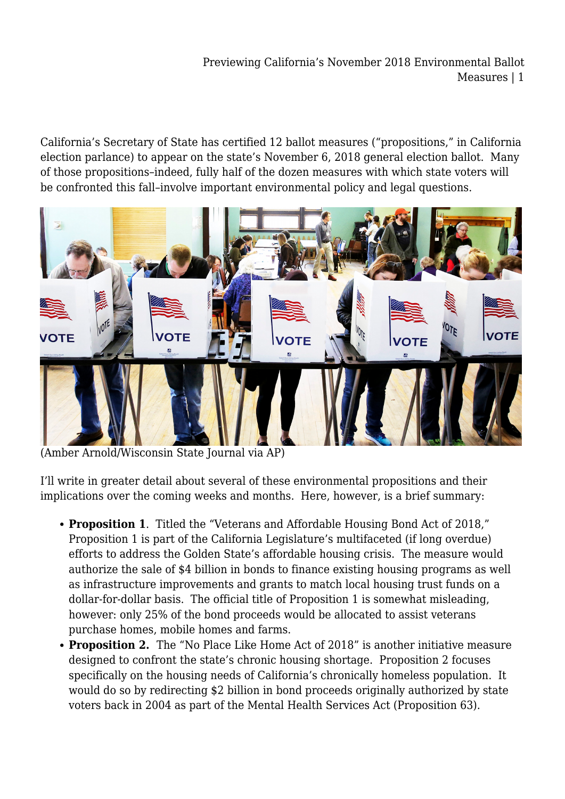## Previewing California's November 2018 Environmental Ballot Measures | 1

California's Secretary of State has certified 12 ballot measures ("propositions," in California election parlance) to appear on the state's November 6, 2018 general election ballot. Many of those propositions–indeed, fully half of the dozen measures with which state voters will be confronted this fall–involve important environmental policy and legal questions.



(Amber Arnold/Wisconsin State Journal via AP)

I'll write in greater detail about several of these environmental propositions and their implications over the coming weeks and months. Here, however, is a brief summary:

- **Proposition 1**. Titled the "Veterans and Affordable Housing Bond Act of 2018," Proposition 1 is part of the California Legislature's multifaceted (if long overdue) efforts to address the Golden State's affordable housing crisis. The measure would authorize the sale of \$4 billion in bonds to finance existing housing programs as well as infrastructure improvements and grants to match local housing trust funds on a dollar-for-dollar basis. The official title of Proposition 1 is somewhat misleading, however: only 25% of the bond proceeds would be allocated to assist veterans purchase homes, mobile homes and farms.
- **Proposition 2.** The "No Place Like Home Act of 2018" is another initiative measure designed to confront the state's chronic housing shortage. Proposition 2 focuses specifically on the housing needs of California's chronically homeless population. It would do so by redirecting \$2 billion in bond proceeds originally authorized by state voters back in 2004 as part of the Mental Health Services Act (Proposition 63).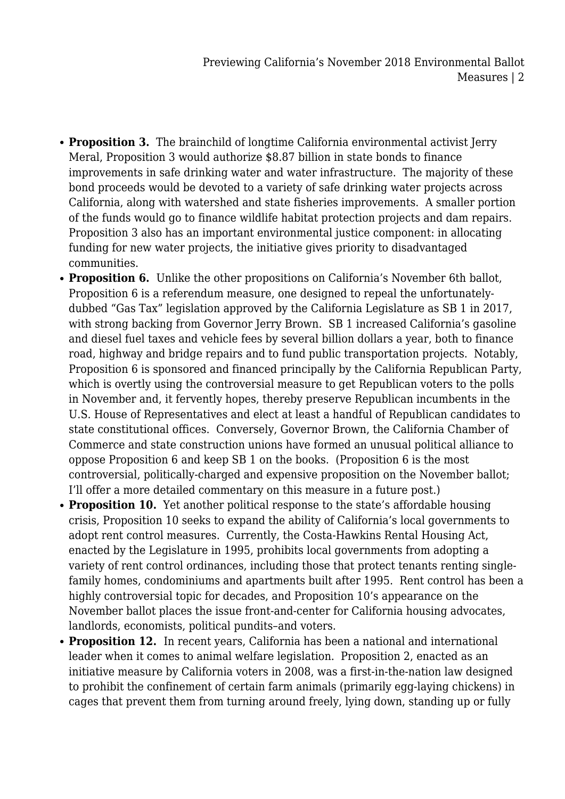- **Proposition 3.** The brainchild of longtime California environmental activist Jerry Meral, Proposition 3 would authorize \$8.87 billion in state bonds to finance improvements in safe drinking water and water infrastructure. The majority of these bond proceeds would be devoted to a variety of safe drinking water projects across California, along with watershed and state fisheries improvements. A smaller portion of the funds would go to finance wildlife habitat protection projects and dam repairs. Proposition 3 also has an important environmental justice component: in allocating funding for new water projects, the initiative gives priority to disadvantaged communities.
- **Proposition 6.** Unlike the other propositions on California's November 6th ballot, Proposition 6 is a referendum measure, one designed to repeal the unfortunatelydubbed "Gas Tax" legislation approved by the California Legislature as SB 1 in 2017, with strong backing from Governor Jerry Brown. SB 1 increased California's gasoline and diesel fuel taxes and vehicle fees by several billion dollars a year, both to finance road, highway and bridge repairs and to fund public transportation projects. Notably, Proposition 6 is sponsored and financed principally by the California Republican Party, which is overtly using the controversial measure to get Republican voters to the polls in November and, it fervently hopes, thereby preserve Republican incumbents in the U.S. House of Representatives and elect at least a handful of Republican candidates to state constitutional offices. Conversely, Governor Brown, the California Chamber of Commerce and state construction unions have formed an unusual political alliance to oppose Proposition 6 and keep SB 1 on the books. (Proposition 6 is the most controversial, politically-charged and expensive proposition on the November ballot; I'll offer a more detailed commentary on this measure in a future post.)
- **Proposition 10.** Yet another political response to the state's affordable housing crisis, Proposition 10 seeks to expand the ability of California's local governments to adopt rent control measures. Currently, the Costa-Hawkins Rental Housing Act, enacted by the Legislature in 1995, prohibits local governments from adopting a variety of rent control ordinances, including those that protect tenants renting singlefamily homes, condominiums and apartments built after 1995. Rent control has been a highly controversial topic for decades, and Proposition 10's appearance on the November ballot places the issue front-and-center for California housing advocates, landlords, economists, political pundits–and voters.
- **Proposition 12.** In recent years, California has been a national and international leader when it comes to animal welfare legislation. Proposition 2, enacted as an initiative measure by California voters in 2008, was a first-in-the-nation law designed to prohibit the confinement of certain farm animals (primarily egg-laying chickens) in cages that prevent them from turning around freely, lying down, standing up or fully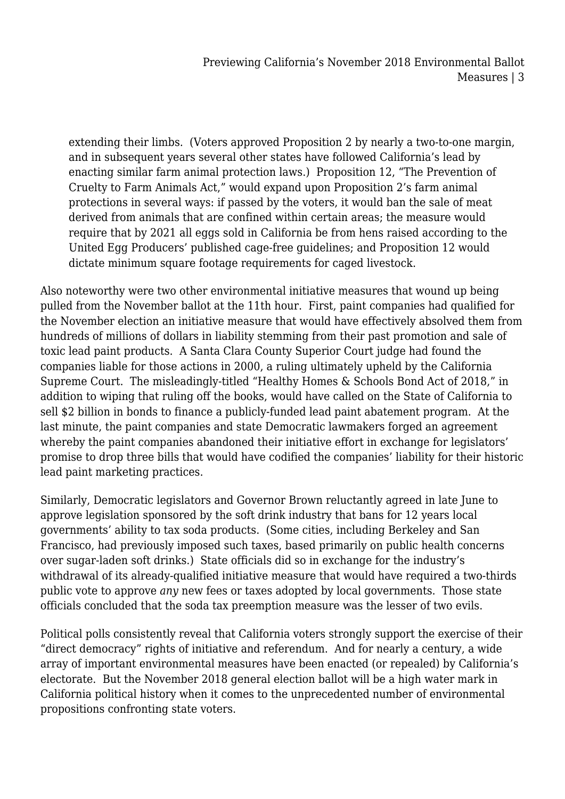extending their limbs. (Voters approved Proposition 2 by nearly a two-to-one margin, and in subsequent years several other states have followed California's lead by enacting similar farm animal protection laws.) Proposition 12, "The Prevention of Cruelty to Farm Animals Act," would expand upon Proposition 2's farm animal protections in several ways: if passed by the voters, it would ban the sale of meat derived from animals that are confined within certain areas; the measure would require that by 2021 all eggs sold in California be from hens raised according to the United Egg Producers' published cage-free guidelines; and Proposition 12 would dictate minimum square footage requirements for caged livestock.

Also noteworthy were two other environmental initiative measures that wound up being pulled from the November ballot at the 11th hour. First, paint companies had qualified for the November election an initiative measure that would have effectively absolved them from hundreds of millions of dollars in liability stemming from their past promotion and sale of toxic lead paint products. A Santa Clara County Superior Court judge had found the companies liable for those actions in 2000, a ruling ultimately upheld by the California Supreme Court. The misleadingly-titled "Healthy Homes & Schools Bond Act of 2018," in addition to wiping that ruling off the books, would have called on the State of California to sell \$2 billion in bonds to finance a publicly-funded lead paint abatement program. At the last minute, the paint companies and state Democratic lawmakers forged an agreement whereby the paint companies abandoned their initiative effort in exchange for legislators' promise to drop three bills that would have codified the companies' liability for their historic lead paint marketing practices.

Similarly, Democratic legislators and Governor Brown reluctantly agreed in late June to approve legislation sponsored by the soft drink industry that bans for 12 years local governments' ability to tax soda products. (Some cities, including Berkeley and San Francisco, had previously imposed such taxes, based primarily on public health concerns over sugar-laden soft drinks.) State officials did so in exchange for the industry's withdrawal of its already-qualified initiative measure that would have required a two-thirds public vote to approve *any* new fees or taxes adopted by local governments. Those state officials concluded that the soda tax preemption measure was the lesser of two evils.

Political polls consistently reveal that California voters strongly support the exercise of their "direct democracy" rights of initiative and referendum. And for nearly a century, a wide array of important environmental measures have been enacted (or repealed) by California's electorate. But the November 2018 general election ballot will be a high water mark in California political history when it comes to the unprecedented number of environmental propositions confronting state voters.